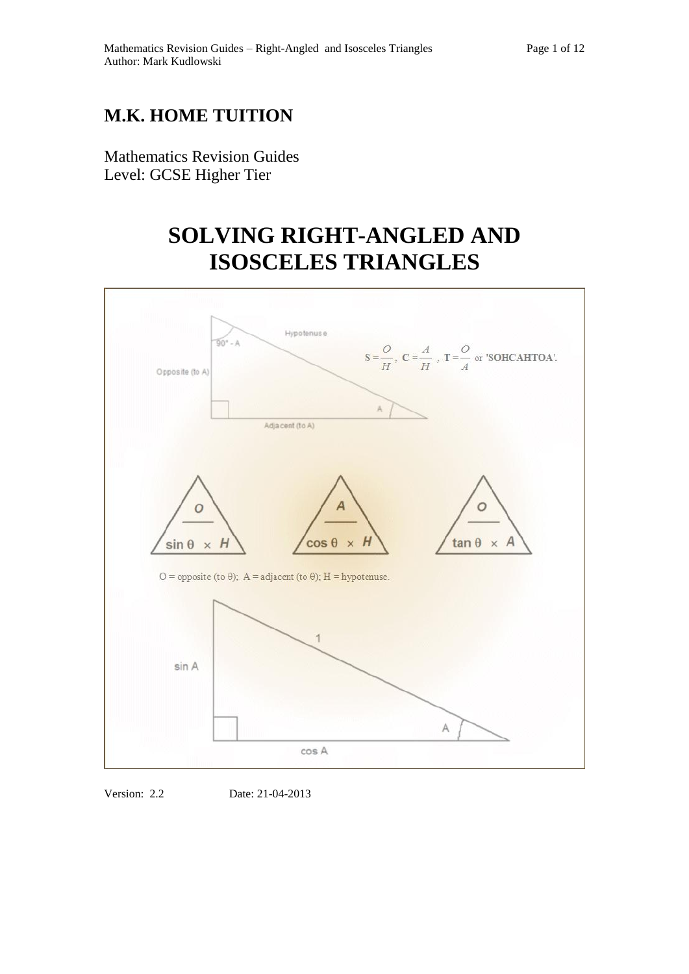## **M.K. HOME TUITION**

Mathematics Revision Guides Level: GCSE Higher Tier

# **SOLVING RIGHT-ANGLED AND ISOSCELES TRIANGLES**



Version: 2.2 Date: 21-04-2013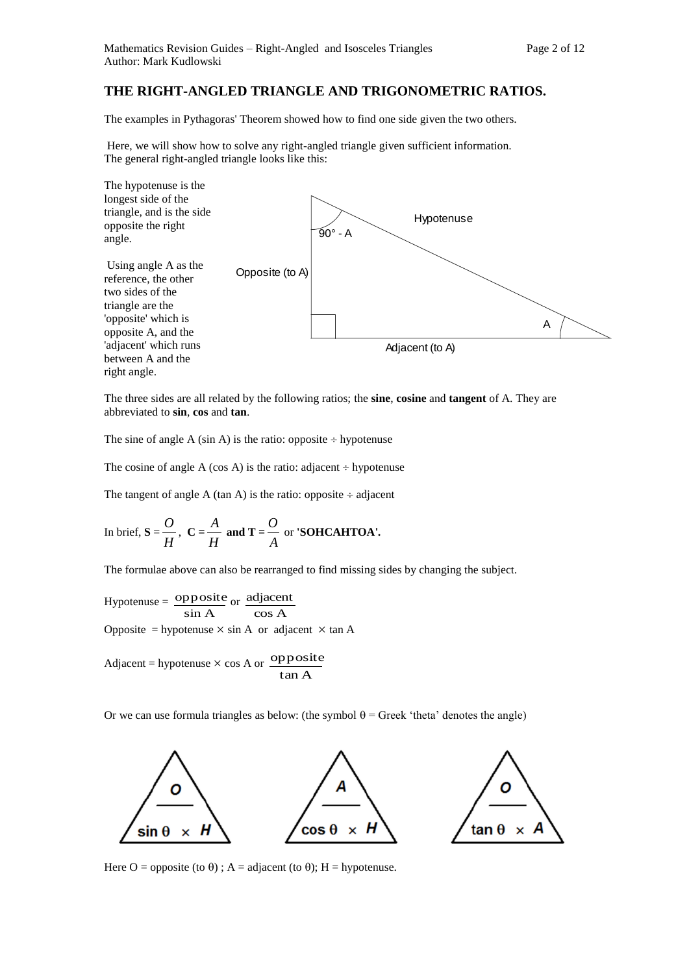### **THE RIGHT-ANGLED TRIANGLE AND TRIGONOMETRIC RATIOS.**

The examples in Pythagoras' Theorem showed how to find one side given the two others.

Here, we will show how to solve any right-angled triangle given sufficient information. The general right-angled triangle looks like this:



The three sides are all related by the following ratios; the **sine**, **cosine** and **tangent** of A. They are abbreviated to **sin**, **cos** and **tan**.

The sine of angle A (sin A) is the ratio: opposite  $\div$  hypotenuse

The cosine of angle A (cos A) is the ratio: adjacent  $\div$  hypotenuse

The tangent of angle A (tan A) is the ratio: opposite  $\div$  adjacent

In brief, 
$$
S = \frac{O}{H}
$$
,  $C = \frac{A}{H}$  and  $T = \frac{O}{A}$  or 'SOHCAHTOA'.

The formulae above can also be rearranged to find missing sides by changing the subject.

Hypotenuse =  $\frac{\text{opposi}}{\text{sin A}}$  $\frac{\text{opposite}}{\text{sin A}}$  or  $\frac{\text{adjacent}}{\text{cos A}}$ adjacent Opposite = hypotenuse  $\times$  sin A or adjacent  $\times$  tan A

Adjacent = hypotenuse  $\times$  cos A or  $\overline{opposite}$ tan A

Or we can use formula triangles as below: (the symbol  $\theta$  = Greek 'theta' denotes the angle)



Here O = opposite (to  $\theta$ ); A = adjacent (to  $\theta$ ); H = hypotenuse.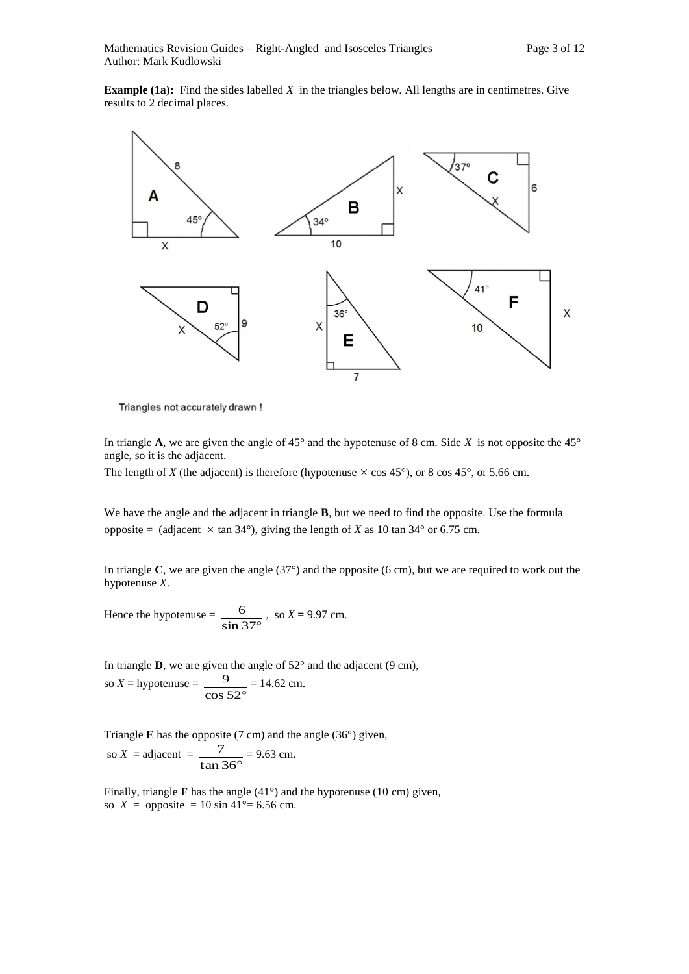**Example (1a):** Find the sides labelled *X* in the triangles below. All lengths are in centimetres. Give results to 2 decimal places.



Triangles not accurately drawn !

In triangle **A**, we are given the angle of 45 $^{\circ}$  and the hypotenuse of 8 cm. Side *X* is not opposite the 45 $^{\circ}$ angle, so it is the adjacent.

The length of *X* (the adjacent) is therefore (hypotenuse  $\times$  cos 45°), or 8 cos 45°, or 5.66 cm.

We have the angle and the adjacent in triangle **B**, but we need to find the opposite. Use the formula opposite = (adjacent  $\times$  tan 34°), giving the length of *X* as 10 tan 34° or 6.75 cm.

In triangle **C**, we are given the angle (37°) and the opposite (6 cm), but we are required to work out the hypotenuse *X*.

Hence the hypotenuse =  $\frac{6}{\sin 37^\circ}$  $\frac{6}{1}$ , so *X* = 9.97 cm.

In triangle  $D$ , we are given the angle of  $52^{\circ}$  and the adjacent (9 cm), so  $X =$  hypotenuse =  $\frac{9}{\cos 52^\circ}$  $\frac{9}{2}$  = 14.62 cm.

Triangle **E** has the opposite (7 cm) and the angle (36°) given, so  $X = \text{adjacent} = \frac{7}{\tan 36^\circ}$  $\frac{7}{2}$  = 9.63 cm.

Finally, triangle **F** has the angle (41°) and the hypotenuse (10 cm) given, so  $X =$  opposite = 10 sin 41°= 6.56 cm.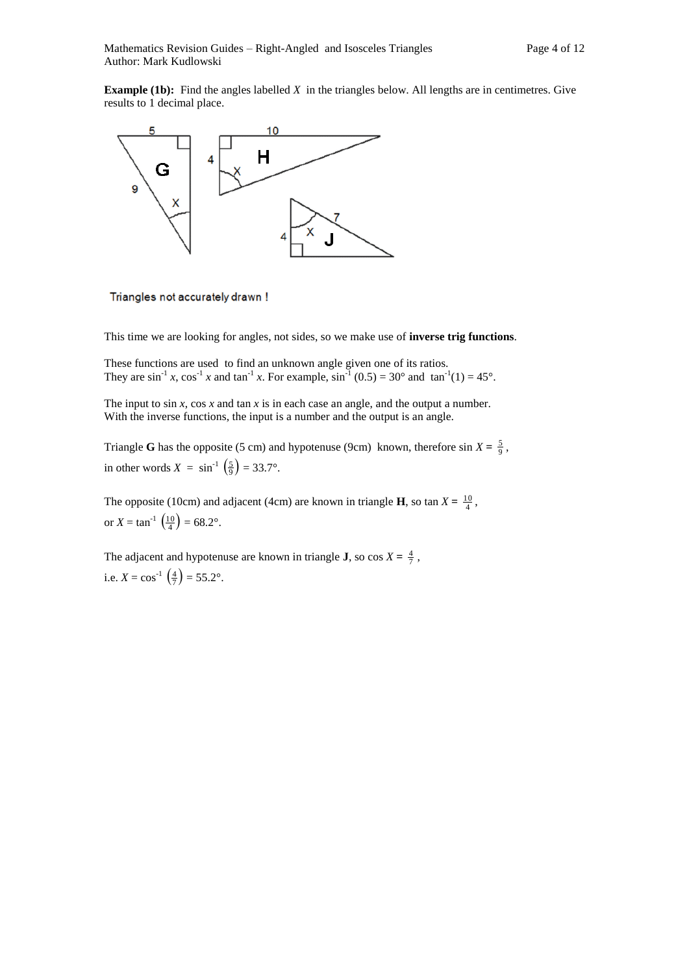**Example (1b):** Find the angles labelled *X* in the triangles below. All lengths are in centimetres. Give results to 1 decimal place.



Triangles not accurately drawn !

This time we are looking for angles, not sides, so we make use of **inverse trig functions**.

These functions are used to find an unknown angle given one of its ratios. They are  $\sin^{-1} x$ ,  $\cos^{-1} x$  and  $\tan^{-1} x$ . For example,  $\sin^{-1} (0.5) = 30^{\circ}$  and  $\tan^{-1}(1) = 45^{\circ}$ .

The input to sin *x*, cos *x* and tan *x* is in each case an angle, and the output a number. With the inverse functions, the input is a number and the output is an angle.

Triangle **G** has the opposite (5 cm) and hypotenuse (9cm) known, therefore sin  $X = \frac{5}{9}$ , in other words  $X = \sin^{-1} \left( \frac{5}{9} \right) = 33.7^{\circ}$ .

The opposite (10cm) and adjacent (4cm) are known in triangle **H**, so tan  $X = \frac{10}{4}$ , or  $X = \tan^{-1} \left( \frac{10}{4} \right) = 68.2^{\circ}$ .

The adjacent and hypotenuse are known in triangle **J**, so  $\cos X = \frac{4}{7}$ , i.e.  $X = \cos^{-1}(\frac{4}{7}) = 55.2^{\circ}$ .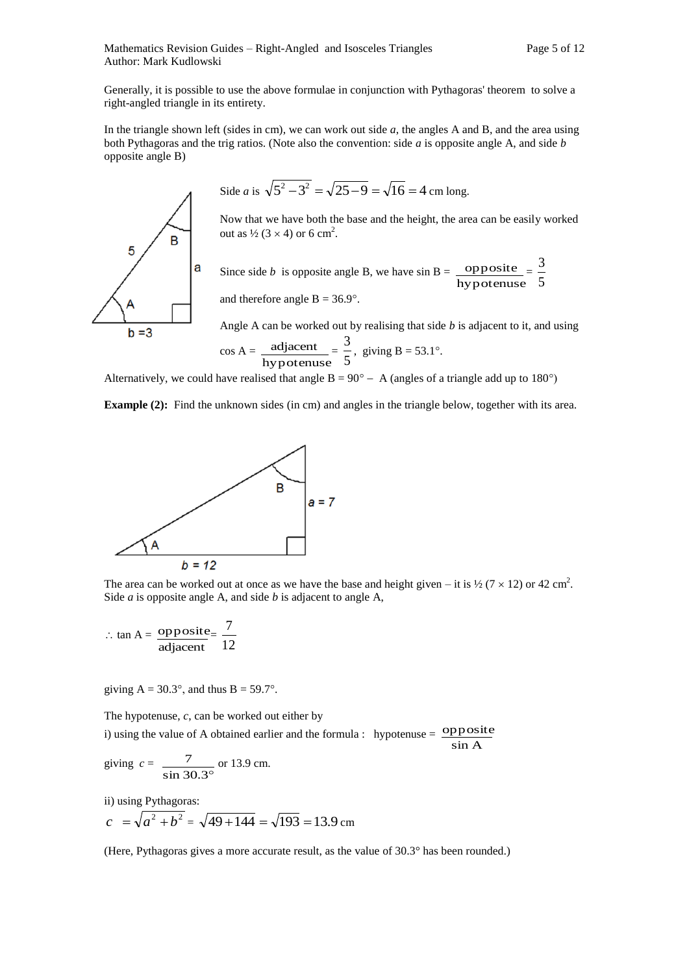Mathematics Revision Guides – Right-Angled and Isosceles Triangles Page 5 of 12 Author: Mark Kudlowski

Generally, it is possible to use the above formulae in conjunction with Pythagoras' theorem to solve a right-angled triangle in its entirety.

In the triangle shown left (sides in cm), we can work out side *a*, the angles A and B, and the area using both Pythagoras and the trig ratios. (Note also the convention: side *a* is opposite angle A, and side *b* opposite angle B)

Side *a* is 
$$
\sqrt{5^2 - 3^2} = \sqrt{25 - 9} = \sqrt{16} = 4
$$
 cm long.

Now that we have both the base and the height, the area can be easily worked out as  $\frac{1}{2}$  (3 × 4) or 6 cm<sup>2</sup>.

Since side *b* is opposite angle B, we have  $\sin B =$ hypotenuse  $opposite$  = 5 3

and therefore angle  $B = 36.9^\circ$ .

Angle A can be worked out by realising that side *b* is adjacent to it, and using

sin A

$$
\cos A = \frac{\text{adjacent}}{\text{hypotenuse}} = \frac{3}{5}, \text{ giving } B = 53.1^{\circ}.
$$

Alternatively, we could have realised that angle  $B = 90^{\circ} - A$  (angles of a triangle add up to 180°)

**Example (2):** Find the unknown sides (in cm) and angles in the triangle below, together with its area.



The area can be worked out at once as we have the base and height given – it is  $\frac{1}{2}$  (7  $\times$  12) or 42 cm<sup>2</sup>. Side *a* is opposite angle A, and side *b* is adjacent to angle A,

$$
\therefore \tan A = \frac{\text{opposite}}{\text{adjacent}} = \frac{7}{12}
$$

giving  $A = 30.3^\circ$ , and thus  $B = 59.7^\circ$ .

The hypotenuse, *c*, can be worked out either by i) using the value of A obtained earlier and the formula : hypotenuse =  $\frac{\text{opposite}}{\text{opposite}}$ 

giving 
$$
c = \frac{7}{\sin 30.3^\circ}
$$
 or 13.9 cm.

ii) using Pythagoras:

$$
c = \sqrt{a^2 + b^2} = \sqrt{49 + 144} = \sqrt{193} = 13.9
$$
 cm

(Here, Pythagoras gives a more accurate result, as the value of 30.3° has been rounded.)

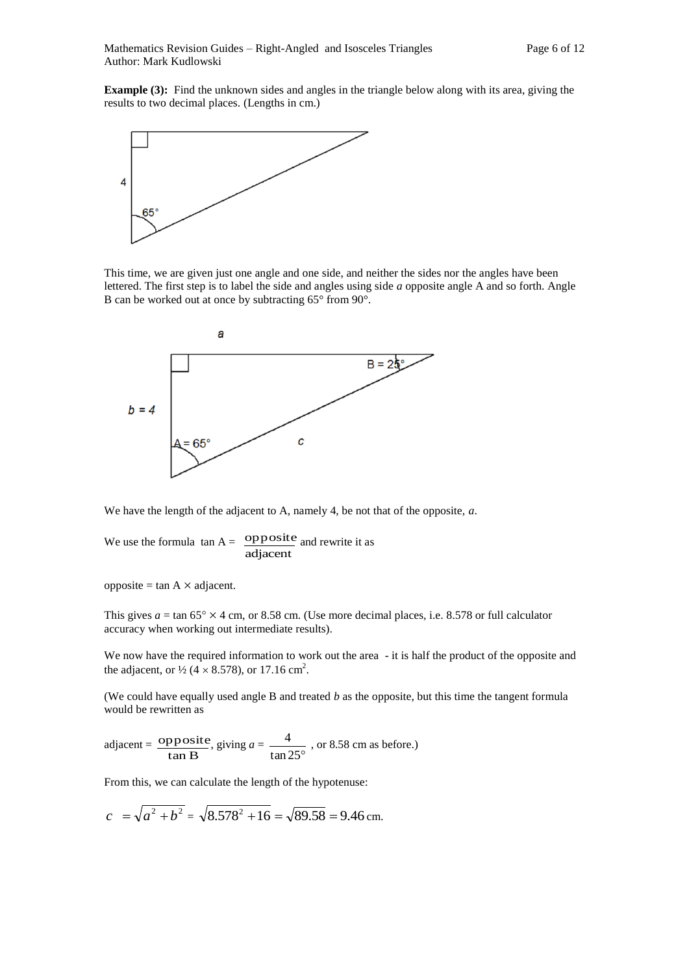

This time, we are given just one angle and one side, and neither the sides nor the angles have been lettered. The first step is to label the side and angles using side *a* opposite angle A and so forth. Angle B can be worked out at once by subtracting 65° from 90°.



We have the length of the adjacent to A, namely 4, be not that of the opposite, *a*.

We use the formula  $\tan A =$ adjacent opposite and rewrite it as

opposite = tan  $A \times$  adjacent.

This gives  $a = \tan 65^\circ \times 4$  cm, or 8.58 cm. (Use more decimal places, i.e. 8.578 or full calculator accuracy when working out intermediate results).

We now have the required information to work out the area - it is half the product of the opposite and the adjacent, or  $\frac{1}{2}$  (4  $\times$  8.578), or 17.16 cm<sup>2</sup>.

(We could have equally used angle B and treated *b* as the opposite, but this time the tangent formula would be rewritten as

 $\text{adjacent} = \frac{\text{opposi}}{\tan B}$ opposite , giving *a* = tan 25°  $\frac{4}{\sqrt{2}}$ , or 8.58 cm as before.)

From this, we can calculate the length of the hypotenuse:

$$
c = \sqrt{a^2 + b^2} = \sqrt{8.578^2 + 16} = \sqrt{89.58} = 9.46
$$
 cm.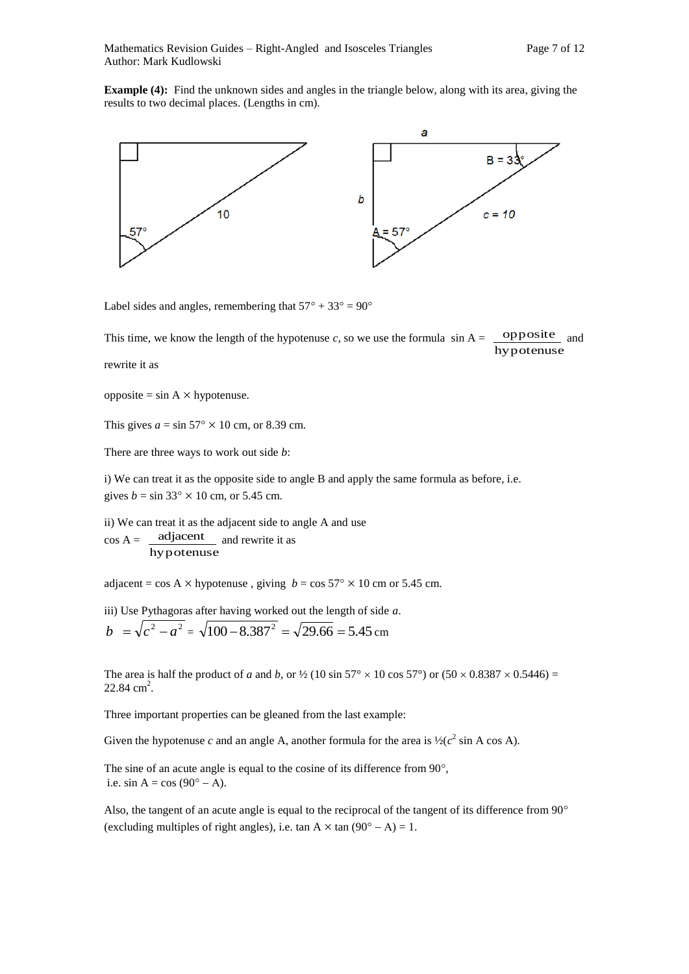**Example (4):** Find the unknown sides and angles in the triangle below, along with its area, giving the results to two decimal places. (Lengths in cm).



Label sides and angles, remembering that  $57^{\circ} + 33^{\circ} = 90^{\circ}$ 

This time, we know the length of the hypotenuse *c*, so we use the formula  $\sin A =$ hypotenuse opposite and

rewrite it as

 $opposite = sin A \times hypotenuse.$ 

This gives  $a = \sin 57^\circ \times 10$  cm, or 8.39 cm.

There are three ways to work out side *b*:

i) We can treat it as the opposite side to angle B and apply the same formula as before, i.e. gives  $b = \sin 33^\circ \times 10$  cm, or 5.45 cm.

ii) We can treat it as the adjacent side to angle A and use  $\cos A =$ hypotenuse adjacent and rewrite it as

adjacent = cos A  $\times$  hypotenuse, giving  $b = \cos 57^\circ \times 10$  cm or 5.45 cm.

iii) Use Pythagoras after having worked out the length of side *a*.

$$
b = \sqrt{c^2 - a^2} = \sqrt{100 - 8.387^2} = \sqrt{29.66} = 5.45
$$
 cm

The area is half the product of *a* and *b*, or  $\frac{1}{2}$  (10 sin 57°  $\times$  10 cos 57°) or (50  $\times$  0.8387  $\times$  0.5446) =  $22.84 \text{ cm}^2$ .

Three important properties can be gleaned from the last example:

Given the hypotenuse *c* and an angle A, another formula for the area is  $\frac{1}{2}(c^2 \sin A \cos A)$ .

The sine of an acute angle is equal to the cosine of its difference from  $90^{\circ}$ , i.e. sin A = cos  $(90^\circ - A)$ .

Also, the tangent of an acute angle is equal to the reciprocal of the tangent of its difference from 90 $^{\circ}$ (excluding multiples of right angles), i.e. tan  $A \times \tan (90^\circ - A) = 1$ .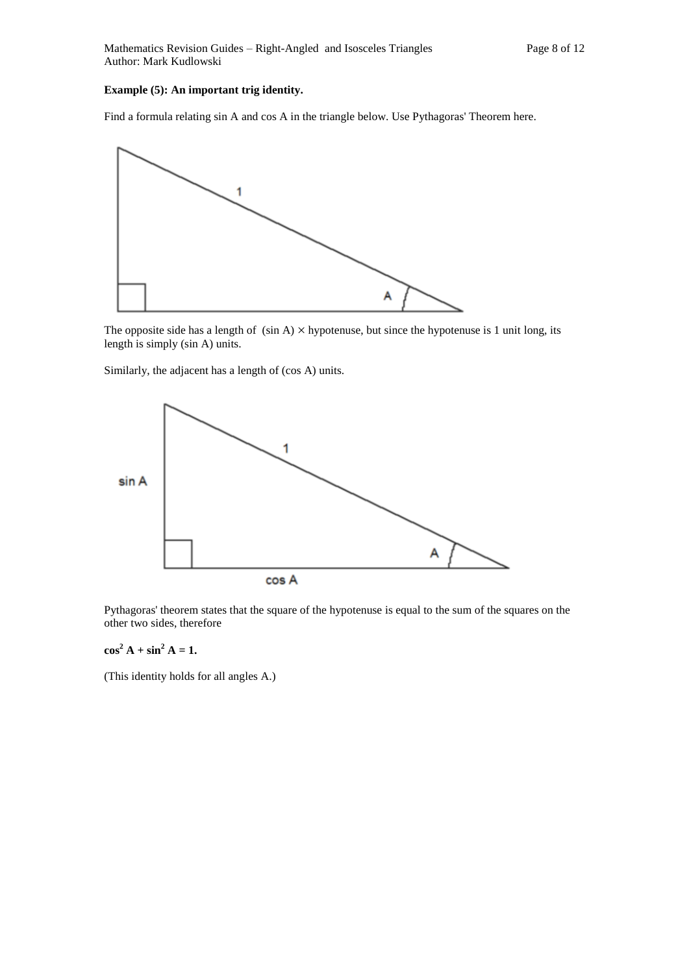#### **Example (5): An important trig identity.**

Find a formula relating sin A and cos A in the triangle below. Use Pythagoras' Theorem here.



The opposite side has a length of  $(\sin A) \times$  hypotenuse, but since the hypotenuse is 1 unit long, its length is simply (sin A) units.

Similarly, the adjacent has a length of (cos A) units.



Pythagoras' theorem states that the square of the hypotenuse is equal to the sum of the squares on the other two sides, therefore

 $\cos^2 A + \sin^2 A = 1$ .

(This identity holds for all angles A.)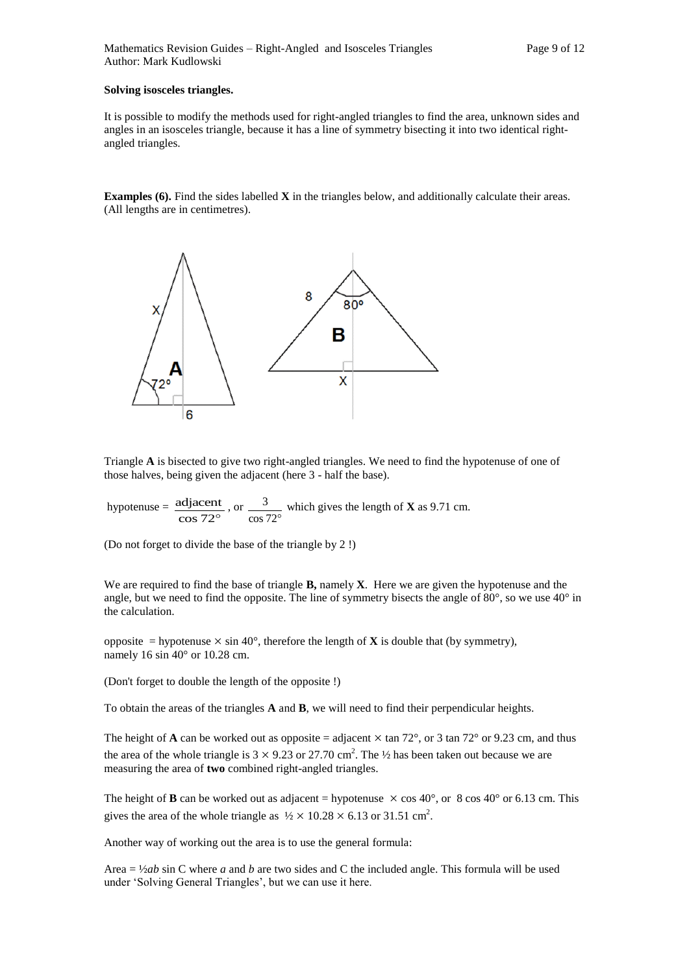#### **Solving isosceles triangles.**

It is possible to modify the methods used for right-angled triangles to find the area, unknown sides and angles in an isosceles triangle, because it has a line of symmetry bisecting it into two identical rightangled triangles.

**Examples (6). Find the sides labelled <b>X** in the triangles below, and additionally calculate their areas. (All lengths are in centimetres).



Triangle **A** is bisected to give two right-angled triangles. We need to find the hypotenuse of one of those halves, being given the adjacent (here 3 - half the base).

hypotenuse =  $\frac{\text{adjacent}}{\cos 72^{\circ}}$ adjacent , or cos 72 3 which gives the length of **X** as 9.71 cm.

(Do not forget to divide the base of the triangle by 2 !)

We are required to find the base of triangle **B,** namely **X**. Here we are given the hypotenuse and the angle, but we need to find the opposite. The line of symmetry bisects the angle of 80°, so we use 40° in the calculation.

opposite = hypotenuse  $\times$  sin 40°, therefore the length of **X** is double that (by symmetry), namely 16 sin 40° or 10.28 cm.

(Don't forget to double the length of the opposite !)

To obtain the areas of the triangles **A** and **B**, we will need to find their perpendicular heights.

The height of **A** can be worked out as opposite = adjacent  $\times$  tan 72°, or 3 tan 72° or 9.23 cm, and thus the area of the whole triangle is  $3 \times 9.23$  or 27.70 cm<sup>2</sup>. The  $\frac{1}{2}$  has been taken out because we are measuring the area of **two** combined right-angled triangles.

The height of **B** can be worked out as adjacent = hypotenuse  $\times$  cos 40°, or 8 cos 40° or 6.13 cm. This gives the area of the whole triangle as  $\frac{1}{2} \times 10.28 \times 6.13$  or 31.51 cm<sup>2</sup>.

Another way of working out the area is to use the general formula:

Area = ½*ab* sin C where *a* and *b* are two sides and C the included angle. This formula will be used under 'Solving General Triangles', but we can use it here.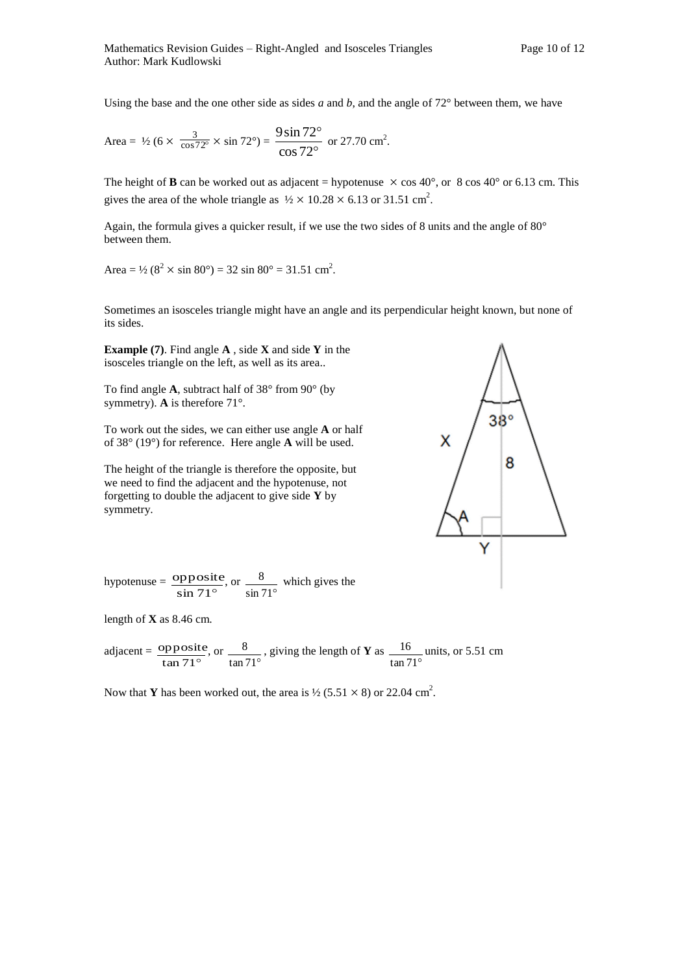Using the base and the one other side as sides *a* and *b*, and the angle of  $72^{\circ}$  between them, we have

Area = 
$$
\frac{1}{2} (6 \times \frac{3}{\cos 72^{\circ}} \times \sin 72^{\circ}) = \frac{9 \sin 72^{\circ}}{\cos 72^{\circ}} \text{ or } 27.70 \text{ cm}^2.
$$

The height of **B** can be worked out as adjacent = hypotenuse  $\times$  cos 40°, or 8 cos 40° or 6.13 cm. This gives the area of the whole triangle as  $\frac{1}{2} \times 10.28 \times 6.13$  or 31.51 cm<sup>2</sup>.

Again, the formula gives a quicker result, if we use the two sides of 8 units and the angle of 80° between them.

Area = 
$$
\frac{1}{2}
$$
 (8<sup>2</sup> × sin 80°) = 32 sin 80° = 31.51 cm<sup>2</sup>.

Sometimes an isosceles triangle might have an angle and its perpendicular height known, but none of its sides.

**Example (7)**. Find angle **A** , side **X** and side **Y** in the isosceles triangle on the left, as well as its area..

To find angle **A**, subtract half of 38° from 90° (by symmetry). **A** is therefore 71°.

To work out the sides, we can either use angle **A** or half of 38° (19°) for reference. Here angle **A** will be used.

The height of the triangle is therefore the opposite, but we need to find the adjacent and the hypotenuse, not forgetting to double the adjacent to give side **Y** by symmetry.



hypotenuse =  $\frac{\text{oppost}}{\text{sin } 71^{\circ}}$ opposite , or  $\sin 71^\circ$  $\frac{8}{2}$  which gives the

length of **X** as 8.46 cm.

adjacent = 
$$
\frac{\text{opposite}}{\tan 71^\circ}
$$
, or  $\frac{8}{\tan 71^\circ}$ , giving the length of **Y** as  $\frac{16}{\tan 71^\circ}$  units, or 5.51 cm

Now that **Y** has been worked out, the area is  $\frac{1}{2}$  (5.51  $\times$  8) or 22.04 cm<sup>2</sup>.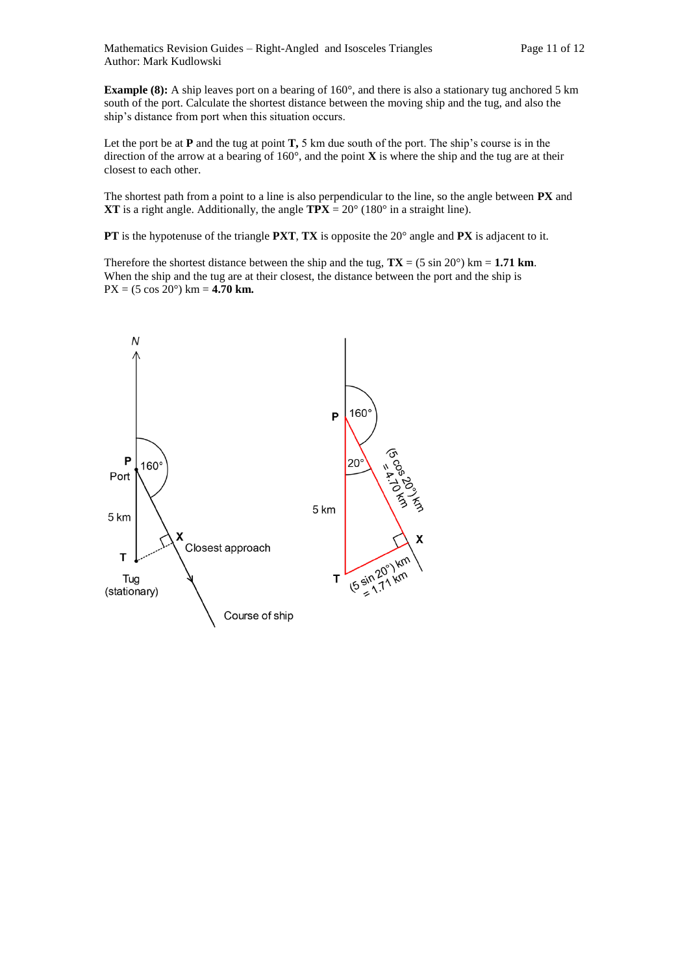**Example (8):** A ship leaves port on a bearing of 160°, and there is also a stationary tug anchored 5 km south of the port. Calculate the shortest distance between the moving ship and the tug, and also the ship's distance from port when this situation occurs.

Let the port be at **P** and the tug at point **T,** 5 km due south of the port. The ship's course is in the direction of the arrow at a bearing of 160°, and the point **X** is where the ship and the tug are at their closest to each other.

The shortest path from a point to a line is also perpendicular to the line, so the angle between **PX** and **XT** is a right angle. Additionally, the angle  $TPX = 20^{\circ}$  (180° in a straight line).

**PT** is the hypotenuse of the triangle **PXT**, **TX** is opposite the 20° angle and **PX** is adjacent to it.

Therefore the shortest distance between the ship and the tug,  $TX = (5 \sin 20^\circ)$  km = 1.71 km. When the ship and the tug are at their closest, the distance between the port and the ship is PX = (5 cos 20°) km = **4.70 km.**